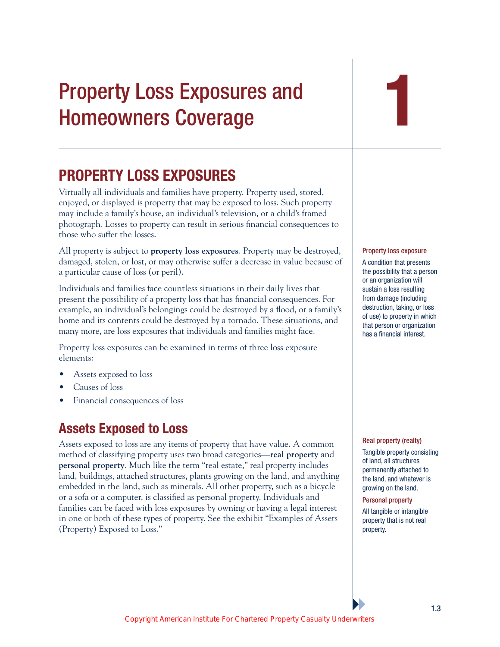# Property Loss Exposures and Homeowners Coverage

## **PROPERTY LOSS EXPOSURES**

Virtually all individuals and families have property. Property used, stored, enjoyed, or displayed is property that may be exposed to loss. Such property may include a family's house, an individual's television, or a child's framed photograph. Losses to property can result in serious financial consequences to those who suffer the losses.

All property is subject to **property loss exposures**. Property may be destroyed, damaged, stolen, or lost, or may otherwise suffer a decrease in value because of a particular cause of loss (or peril).

Individuals and families face countless situations in their daily lives that present the possibility of a property loss that has financial consequences. For example, an individual's belongings could be destroyed by a flood, or a family's home and its contents could be destroyed by a tornado. These situations, and many more, are loss exposures that individuals and families might face.

Property loss exposures can be examined in terms of three loss exposure elements:

- Assets exposed to loss
- Causes of loss
- Financial consequences of loss

## **Assets Exposed to Loss**

Assets exposed to loss are any items of property that have value. A common method of classifying property uses two broad categories—**real property** and **personal property**. Much like the term "real estate," real property includes land, buildings, attached structures, plants growing on the land, and anything embedded in the land, such as minerals. All other property, such as a bicycle or a sofa or a computer, is classified as personal property. Individuals and families can be faced with loss exposures by owning or having a legal interest in one or both of these types of property. See the exhibit "Examples of Assets (Property) Exposed to Loss."



Property loss exposure A condition that presents

the possibility that a person or an organization will sustain a loss resulting from damage (including destruction, taking, or loss of use) to property in which that person or organization has a financial interest.

#### Real property (realty)

Tangible property consisting of land, all structures permanently attached to the land, and whatever is growing on the land.

Personal property

All tangible or intangible property that is not real property.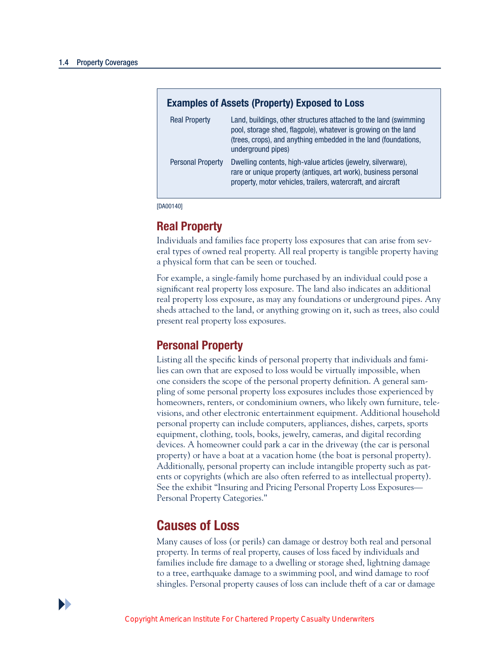| <b>Examples of Assets (Property) Exposed to Loss</b> |                                                                                                                                                                                                                             |
|------------------------------------------------------|-----------------------------------------------------------------------------------------------------------------------------------------------------------------------------------------------------------------------------|
| <b>Real Property</b>                                 | Land, buildings, other structures attached to the land (swimming<br>pool, storage shed, flagpole), whatever is growing on the land<br>(trees, crops), and anything embedded in the land (foundations,<br>underground pipes) |
| <b>Personal Property</b>                             | Dwelling contents, high-value articles (jewelry, silverware),<br>rare or unique property (antiques, art work), business personal<br>property, motor vehicles, trailers, watercraft, and aircraft                            |

[DA00140]

#### **Real Property**

Individuals and families face property loss exposures that can arise from several types of owned real property. All real property is tangible property having a physical form that can be seen or touched.

For example, a single-family home purchased by an individual could pose a significant real property loss exposure. The land also indicates an additional real property loss exposure, as may any foundations or underground pipes. Any sheds attached to the land, or anything growing on it, such as trees, also could present real property loss exposures.

#### **Personal Property**

Listing all the specific kinds of personal property that individuals and families can own that are exposed to loss would be virtually impossible, when one considers the scope of the personal property definition. A general sampling of some personal property loss exposures includes those experienced by homeowners, renters, or condominium owners, who likely own furniture, televisions, and other electronic entertainment equipment. Additional household personal property can include computers, appliances, dishes, carpets, sports equipment, clothing, tools, books, jewelry, cameras, and digital recording devices. A homeowner could park a car in the driveway (the car is personal property) or have a boat at a vacation home (the boat is personal property). Additionally, personal property can include intangible property such as patents or copyrights (which are also often referred to as intellectual property). See the exhibit "Insuring and Pricing Personal Property Loss Exposures— Personal Property Categories."

## **Causes of Loss**

Many causes of loss (or perils) can damage or destroy both real and personal property. In terms of real property, causes of loss faced by individuals and families include fire damage to a dwelling or storage shed, lightning damage to a tree, earthquake damage to a swimming pool, and wind damage to roof shingles. Personal property causes of loss can include theft of a car or damage